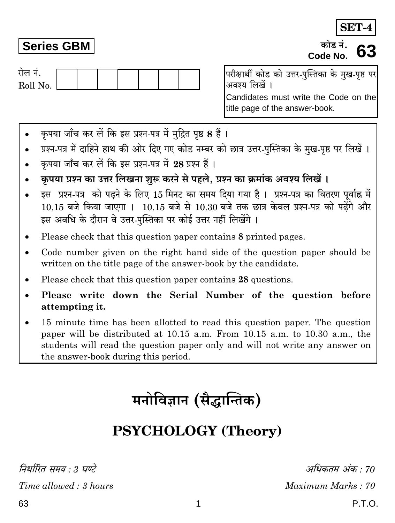63

# **Series GBM**

रोल नं. Roll No. परीक्षार्थी कोड को उत्तर-पस्तिका के मख-पष्ठ पर अवश्य लिखें ।

Candidates must write the Code on the title page of the answer-book.

- कपया जाँच कर लें कि इस प्रश्न-पत्र में मुद्रित पृष्ठ 8 हैं।
- प्रश्न-पत्र में दाहिने हाथ की ओर दिए गए कोड नम्बर को छात्र उत्तर-पुस्तिका के मुख-पृष्ठ पर लिखें ।
- कृपया जाँच कर लें कि इस प्रश्न-पत्र में 28 प्रश्न हैं।
- कपया प्रश्न का उत्तर लिखना शुरू करने से पहले. प्रश्न का क्रमांक अवश्य लिखें ।
- इस प्रश्न-पत्र को पढने के लिए 15 मिनट का समय दिया गया है। प्रश्न-पत्र का वितरण पर्वाह्न में 10.15 बजे किया जाएगा । 10.15 बजे से 10.30 बजे तक छात्र केवल प्रश्न-पत्र को पढेंगे और इस अवधि के दौरान वे उत्तर-पुस्तिका पर कोई उत्तर नहीं लिखेंगे ।
- Please check that this question paper contains 8 printed pages.
- Code number given on the right hand side of the question paper should be written on the title page of the answer-book by the candidate.
- Please check that this question paper contains 28 questions.
- Please write down the Serial Number of the question before attempting it.
- 15 minute time has been allotted to read this question paper. The question paper will be distributed at 10.15 a.m. From 10.15 a.m. to 10.30 a.m., the students will read the question paper only and will not write any answer on the answer-book during this period.

# मनोविज्ञान (सैद्धान्तिक)

# **PSYCHOLOGY (Theory)**

1

निर्धारित समय : 3 घण्टे

P.T.O.

अधिकतम अंक : 70

Maximum Marks: 70

**SET-4** 

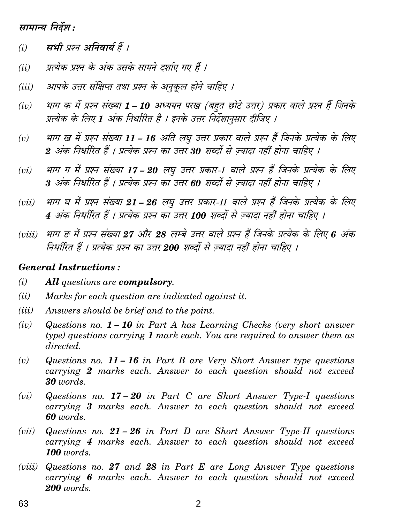## सामान्य निर्देश :

- सभी प्रश्न अनिवार्य हैं ।  $(i)$
- प्रत्येक प्रश्न के अंक उसके सामने दर्शाए गए हैं ।  $(ii)$
- आपके उत्तर संक्षिप्त तथा प्रश्न के अनुकूल होने चाहिए ।  $(iii)$
- भाग क में प्रश्न संख्या 1 10 अध्ययन परख (बहत छोटे उत्तर) प्रकार वाले प्रश्न हैं जिनके  $(iv)$ प्रत्येक के लिए 1 अंक निर्धारित है । इनके उत्तर निर्देशानसार दीजिए ।
- भाग ख में प्रश्न संख्या 11 16 अति लघु उत्तर प्रकार वाले प्रश्न हैं जिनके प्रत्येक के लिए  $(v)$ 2 अंक निर्धारित हैं । प्रत्येक प्रश्न का उत्तर 30 शब्दों से ज्यादा नहीं होना चाहिए ।
- भाग ग में प्रश्न संख्या 17 20 लघु उत्तर प्रकार-1 वाले प्रश्न हैं जिनके प्रत्येक के लिए  $(vi)$ 3 अंक निर्धारित हैं । प्रत्येक प्रश्न का उत्तर 60 शब्दों से ज़्यादा नहीं होना चाहिए ।
- भाग घ में प्रश्न संख्या 21 26 लघ उत्तर प्रकार-II वाले प्रश्न हैं जिनके प्रत्येक के लिए  $(vii)$ 4 अंक निर्धारित हैं । प्रत्येक प्रश्न का उत्तर 100 शब्दों से ज्यादा नहीं होना चाहिए ।
- भाग ङ में प्रश्न संख्या 27 और 28 लम्बे उत्तर वाले प्रश्न हैं जिनके प्रत्येक के लिए 6 अंक  $(viii)$ निर्धारित हैं । प्रत्येक प्रश्न का उत्तर 200 शब्दों से ज्यादा नहीं होना चाहिए ।

#### **General Instructions:**

- $(i)$ All questions are compulsory.
- $(ii)$ Marks for each question are indicated against it.
- (*iii*) Answers should be brief and to the point.
- $(iv)$ Questions no.  $1 - 10$  in Part A has Learning Checks (very short answer type) questions carrying  $1$  mark each. You are required to answer them as directed.
- Questions no.  $11 16$  in Part B are Very Short Answer type questions  $(v)$ carrying 2 marks each. Answer to each question should not exceed  $30$  words.
- Questions no.  $17-20$  in Part C are Short Answer Type-I questions  $(vi)$ carrying 3 marks each. Answer to each question should not exceed 60 words.
- Questions no.  $21 26$  in Part D are Short Answer Type-II questions  $(vii)$ carrying 4 marks each. Answer to each question should not exceed 100 words.
- (*viii*) Questions no. 27 and 28 in Part E are Long Answer Type questions carrying 6 marks each. Answer to each question should not exceed  $200$  words.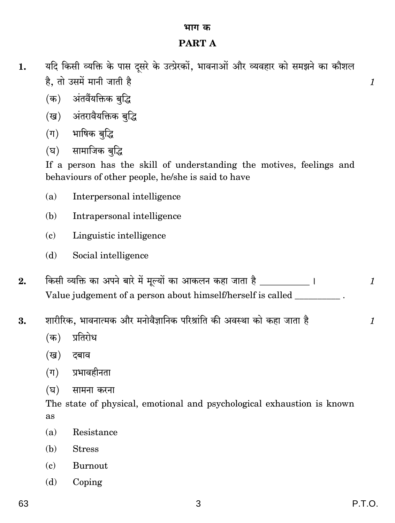### भाग क

# **PART A**

- यदि किसी व्यक्ति के पास दुसरे के उत्प्रेरकों, भावनाओं और व्यवहार को समझने का कौशल 1. है, तो उसमें मानी जाती है
	- (क) अंतर्वैयक्तिक बद्धि
	- (ख) अंतरावैयक्तिक बृद्धि
	- (ग) भाषिक बुद्धि
	- सामाजिक बद्धि (घ)

If a person has the skill of understanding the motives, feelings and behaviours of other people, he/she is said to have

- Interpersonal intelligence  $(a)$
- Intrapersonal intelligence (b)
- Linguistic intelligence  $\epsilon$
- $(b)$ Social intelligence
- किसी व्यक्ति का अपने बारे में मूल्यों का आकलन कहा जाता है \_\_\_\_\_\_\_\_\_\_\_\_ ।  $2.$  $\mathcal{I}_{\mathcal{L}}$ Value judgement of a person about himself/herself is called
- शारीरिक, भावनात्मक और मनोवैज्ञानिक परिश्रांति की अवस्था को कहा जाता है 3.
	- $(\overline{a})$ प्रतिरोध
	- दबाव (ख)
	- प्रभावहीनता  $(\Pi)$
	- (घ) सामना करना

The state of physical, emotional and psychological exhaustion is known as

- Resistance  $(a)$
- **Stress** (b)
- $(c)$ Burnout
- Coping  $(b)$

 $\mathcal{I}$ 

 $\mathcal{I}_{\mathcal{L}}$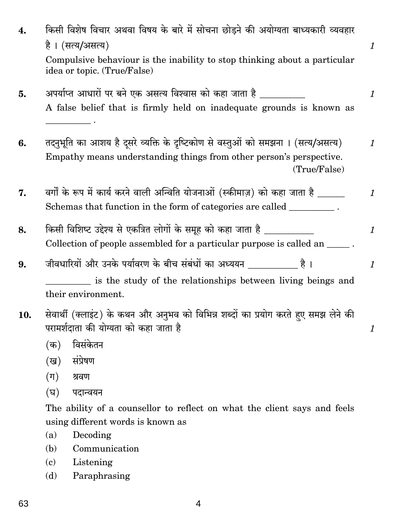| 4.  | किसी विशेष विचार अथवा विषय के बारे में सोचना छोड़ने की अयोग्यता बाध्यकारी व्यवहार                                                                                       |                           |
|-----|-------------------------------------------------------------------------------------------------------------------------------------------------------------------------|---------------------------|
|     | है। (सत्य/असत्य)                                                                                                                                                        | $\mathcal{I}$             |
|     | Compulsive behaviour is the inability to stop thinking about a particular<br>idea or topic. (True/False)                                                                |                           |
| 5.  | अपर्याप्त आधारों पर बने एक असत्य विश्वास को कहा जाता है ________<br>A false belief that is firmly held on inadequate grounds is known as                                | $\boldsymbol{\mathit{1}}$ |
| 6.  | तदनुभूति का आशय है दूसरे व्यक्ति के दृष्टिकोण से वस्तुओं को समझना । (सत्य/असत्य)<br>Empathy means understanding things from other person's perspective.<br>(True/False) | $\mathbf{1}$              |
| 7.  | वर्गों के रूप में कार्य करने वाली अन्विति योजनाओं (स्कीमाज़) को कहा जाता है ______<br>Schemas that function in the form of categories are called _________.             | $\mathbf{1}$              |
| 8.  | किसी विशिष्ट उद्देश्य से एकत्रित लोगों के समूह को कहा जाता है ___________<br>Collection of people assembled for a particular purpose is called an _____.                | $\mathcal{I}$             |
| 9.  | जीवधारियों और उनके पर्यावरण के बीच संबंधों का अध्ययन ________<br>है ।                                                                                                   | $\mathcal{I}$             |
|     | is the study of the relationships between living beings and<br>their environment.                                                                                       |                           |
| 10. | सेवार्थी (क्लाइंट) के कथन और अनुभव को विभिन्न शब्दों का प्रयोग करते हुए समझ लेने की<br>परामर्शदाता की योग्यता को कहा जाता है                                            | $\mathcal{I}$             |
|     | विसंकेतन<br>(क)                                                                                                                                                         |                           |
|     | संप्रेषण<br>(ख)                                                                                                                                                         |                           |
|     | $(\Pi)$<br>श्रवण                                                                                                                                                        |                           |
|     | (घ)<br>पदान्वयन                                                                                                                                                         |                           |
|     | The ability of a counsellor to reflect on what the client says and feels                                                                                                |                           |

using different words is known as

Decoding  $(a)$ 

(b) Communication

 $(c)$ Listening

Paraphrasing  $(d)$ 

 $\overline{4}$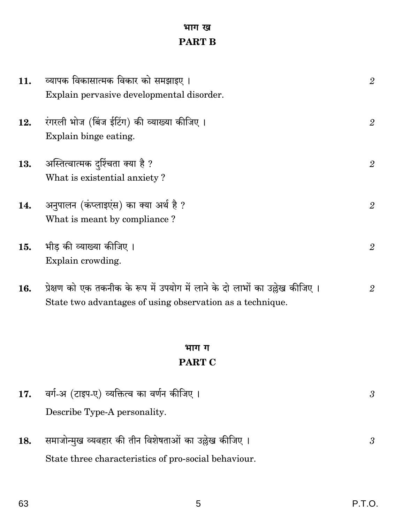# भाग ख **PART B**

| 11. | व्यापक विकासात्मक विकार को समझाइए ।                                          | $\overline{2}$   |
|-----|------------------------------------------------------------------------------|------------------|
|     | Explain pervasive developmental disorder.                                    |                  |
| 12. | रंगरली भोज (बिंज ईटिंग) की व्याख्या कीजिए ।                                  | $\sqrt{2}$       |
|     | Explain binge eating.                                                        |                  |
| 13. | अस्तित्वात्मक दुर्श्चिता क्या है ?                                           | $\boldsymbol{2}$ |
|     | What is existential anxiety?                                                 |                  |
| 14. | अनुपालन (कंप्लाइएंस) का क्या अर्थ है ?                                       | $\overline{2}$   |
|     | What is meant by compliance?                                                 |                  |
| 15. | भीड की व्याख्या कीजिए ।                                                      | $\mathbf{2}$     |
|     | Explain crowding.                                                            |                  |
| 16. | प्रेक्षण को एक तकनीक के रूप में उपयोग में लाने के दो लाभों का उल्लेख कीजिए । | $\overline{2}$   |
|     | State two advantages of using observation as a technique.                    |                  |
|     |                                                                              |                  |
|     | भाग ग                                                                        |                  |
|     | <b>PART C</b>                                                                |                  |

| 17. | वर्ग-अ (टाइप-ए) व्यक्तित्व का वर्णन कीजिए ।                                                                   |  |
|-----|---------------------------------------------------------------------------------------------------------------|--|
|     | Describe Type-A personality.                                                                                  |  |
| 18. | समाजोन्मुख व्यवहार की तीन विशेषताओं का उल्लेख कीजिए ।<br>State three characteristics of pro-social behaviour. |  |
|     |                                                                                                               |  |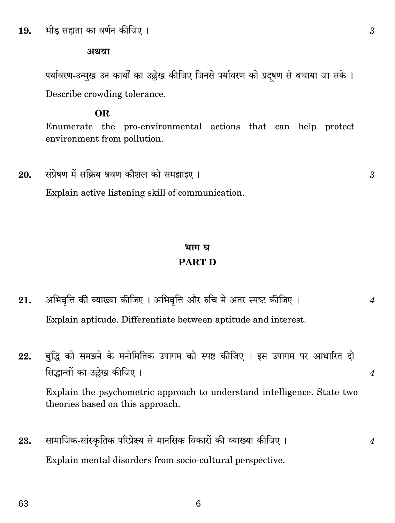#### भीड सह्यता का वर्णन कीजिए । 19.

#### अथवा

पर्यावरण-उन्मुख उन कार्यों का उल्लेख कीजिए जिनसे पर्यावरण को प्रदषण से बचाया जा सके । Describe crowding tolerance.

#### OR.

Enumerate the pro-environmental actions that can help protect environment from pollution.

संप्रेषण में सक्रिय श्रवण कौशल को समझाइए। 20. Explain active listening skill of communication.

# भाग घ **PART D**

- अभिवृत्ति की व्याख्या कीजिए । अभिवृत्ति और रुचि में अंतर स्पष्ट कीजिए । 21.  $\overline{4}$ Explain aptitude. Differentiate between aptitude and interest.
- बुद्धि को समझने के मनोमितिक उपागम को स्पष्ट कीजिए । इस उपागम पर आधारित दो 22. सिद्धान्तों का उल्लेख कीजिए ।

Explain the psychometric approach to understand intelligence. State two theories based on this approach.

सामाजिक-सांस्कृतिक परिप्रेक्ष्य से मानसिक विकारों की व्याख्या कीजिए । 23. Explain mental disorders from socio-cultural perspective.

6

 $\overline{4}$ 

 $\overline{4}$ 

3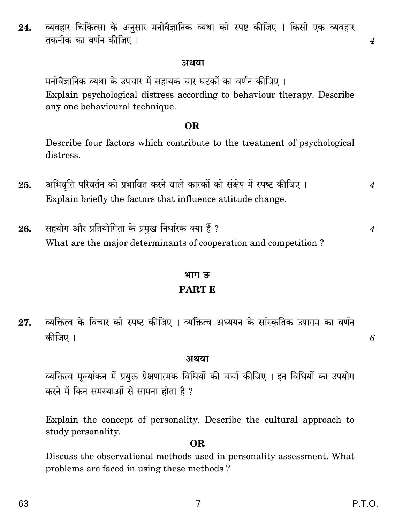#### अथवा

मनोवैज्ञानिक व्यथा के उपचार में सहायक चार घटकों का वर्णन कीजिए । Explain psychological distress according to behaviour therapy. Describe any one behavioural technique.

#### **OR**

Describe four factors which contribute to the treatment of psychological distress.

- अभिवृत्ति परिवर्तन को प्रभावित करने वाले कारकों को संक्षेप में स्पष्ट कीजिए । 25.  $\boldsymbol{4}$ Explain briefly the factors that influence attitude change.
- सहयोग और प्रतियोगिता के प्रमुख निर्धारक क्या हैं ? 26. What are the major determinants of cooperation and competition?

# भाग ङ

## **PART E**

व्यक्तित्व के विचार को स्पष्ट कीजिए । व्यक्तित्व अध्ययन के सांस्कृतिक उपागम का वर्णन 27. कीजिए ।

#### अथवा

व्यक्तित्व मूल्यांकन में प्रयुक्त प्रेक्षणात्मक विधियों की चर्चा कीजिए । इन विधियों का उपयोग करने में किन समस्याओं से सामना होता है ?

Explain the concept of personality. Describe the cultural approach to study personality.

#### **OR**

Discuss the observational methods used in personality assessment. What problems are faced in using these methods?

 $\boldsymbol{\Lambda}$ 

 $\boldsymbol{4}$ 

6